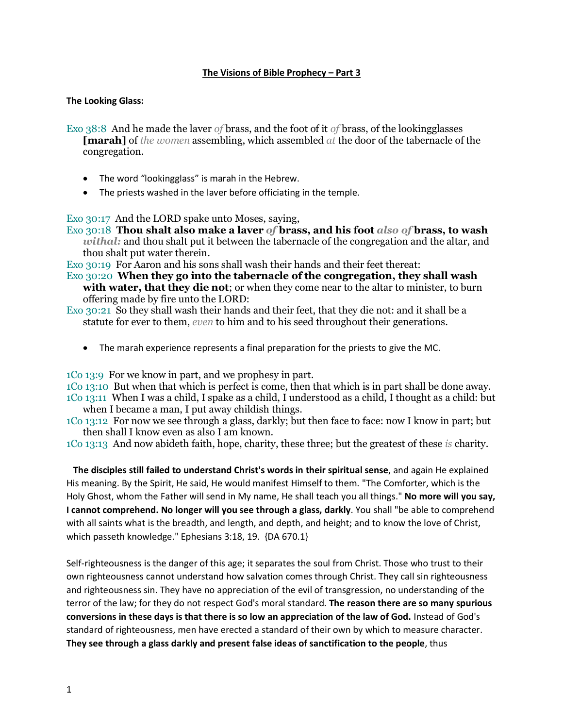## **The Visions of Bible Prophecy – Part 3**

#### **The Looking Glass:**

- Exo 38:8 And he made the laver *of* brass, and the foot of it *of* brass, of the lookingglasses **[marah]** of *the women* assembling, which assembled *at* the door of the tabernacle of the congregation.
	- The word "lookingglass" is marah in the Hebrew.
	- The priests washed in the laver before officiating in the temple.

Exo 30:17 And the LORD spake unto Moses, saying,

Exo 30:18 **Thou shalt also make a laver** *of* **brass, and his foot** *also of* **brass, to wash**  *withal:* and thou shalt put it between the tabernacle of the congregation and the altar, and thou shalt put water therein.

Exo 30:19 For Aaron and his sons shall wash their hands and their feet thereat:

- Exo 30:20 **When they go into the tabernacle of the congregation, they shall wash with water, that they die not**; or when they come near to the altar to minister, to burn offering made by fire unto the LORD:
- Exo 30:21 So they shall wash their hands and their feet, that they die not: and it shall be a statute for ever to them, *even* to him and to his seed throughout their generations.
	- The marah experience represents a final preparation for the priests to give the MC.

1Co 13:9 For we know in part, and we prophesy in part.

1Co 13:10 But when that which is perfect is come, then that which is in part shall be done away.

- 1Co 13:11 When I was a child, I spake as a child, I understood as a child, I thought as a child: but when I became a man, I put away childish things.
- 1Co 13:12 For now we see through a glass, darkly; but then face to face: now I know in part; but then shall I know even as also I am known.

1Co 13:13 And now abideth faith, hope, charity, these three; but the greatest of these *is* charity.

 **The disciples still failed to understand Christ's words in their spiritual sense**, and again He explained His meaning. By the Spirit, He said, He would manifest Himself to them. "The Comforter, which is the Holy Ghost, whom the Father will send in My name, He shall teach you all things." **No more will you say, I cannot comprehend. No longer will you see through a glass, darkly**. You shall "be able to comprehend with all saints what is the breadth, and length, and depth, and height; and to know the love of Christ, which passeth knowledge." Ephesians 3:18, 19. {DA 670.1}

Self-righteousness is the danger of this age; it separates the soul from Christ. Those who trust to their own righteousness cannot understand how salvation comes through Christ. They call sin righteousness and righteousness sin. They have no appreciation of the evil of transgression, no understanding of the terror of the law; for they do not respect God's moral standard. **The reason there are so many spurious conversions in these days is that there is so low an appreciation of the law of God.** Instead of God's standard of righteousness, men have erected a standard of their own by which to measure character. **They see through a glass darkly and present false ideas of sanctification to the people**, thus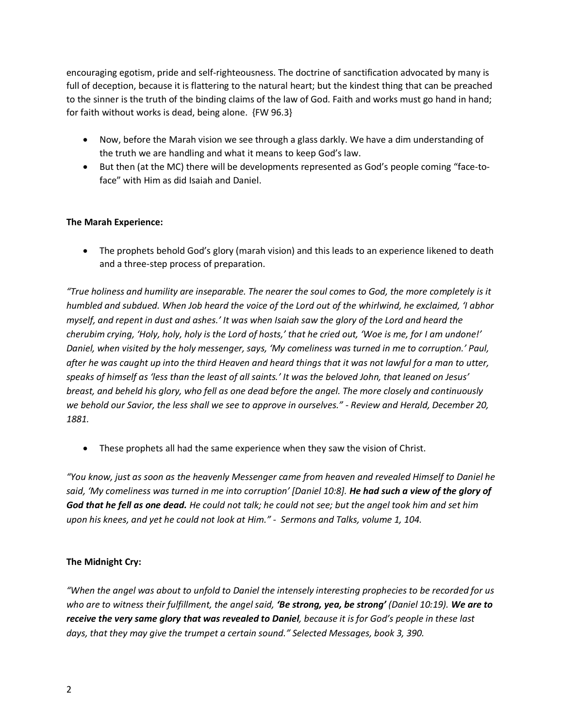encouraging egotism, pride and self-righteousness. The doctrine of sanctification advocated by many is full of deception, because it is flattering to the natural heart; but the kindest thing that can be preached to the sinner is the truth of the binding claims of the law of God. Faith and works must go hand in hand; for faith without works is dead, being alone. {FW 96.3}

- Now, before the Marah vision we see through a glass darkly. We have a dim understanding of the truth we are handling and what it means to keep God's law.
- But then (at the MC) there will be developments represented as God's people coming "face-toface" with Him as did Isaiah and Daniel.

# **The Marah Experience:**

• The prophets behold God's glory (marah vision) and this leads to an experience likened to death and a three-step process of preparation.

*"True holiness and humility are inseparable. The nearer the soul comes to God, the more completely is it humbled and subdued. When Job heard the voice of the Lord out of the whirlwind, he exclaimed, 'I abhor myself, and repent in dust and ashes.' It was when Isaiah saw the glory of the Lord and heard the cherubim crying, 'Holy, holy, holy is the Lord of hosts,' that he cried out, 'Woe is me, for I am undone!' Daniel, when visited by the holy messenger, says, 'My comeliness was turned in me to corruption.' Paul, after he was caught up into the third Heaven and heard things that it was not lawful for a man to utter, speaks of himself as 'less than the least of all saints.' It was the beloved John, that leaned on Jesus' breast, and beheld his glory, who fell as one dead before the angel. The more closely and continuously we behold our Savior, the less shall we see to approve in ourselves." - Review and Herald, December 20, 1881.* 

• These prophets all had the same experience when they saw the vision of Christ.

*"You know, just as soon as the heavenly Messenger came from heaven and revealed Himself to Daniel he said, 'My comeliness was turned in me into corruption' [Daniel 10:8]. He had such a view of the glory of God that he fell as one dead. He could not talk; he could not see; but the angel took him and set him upon his knees, and yet he could not look at Him." - Sermons and Talks, volume 1, 104.* 

# **The Midnight Cry:**

*"When the angel was about to unfold to Daniel the intensely interesting prophecies to be recorded for us who are to witness their fulfillment, the angel said, 'Be strong, yea, be strong' (Daniel 10:19). We are to receive the very same glory that was revealed to Daniel, because it is for God's people in these last days, that they may give the trumpet a certain sound." Selected Messages, book 3, 390.*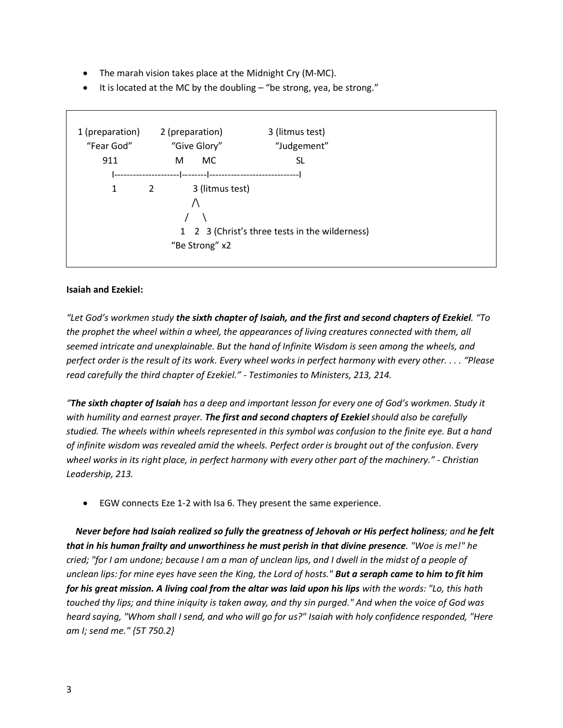- The marah vision takes place at the Midnight Cry (M-MC).
- It is located at the MC by the doubling "be strong, yea, be strong."



## **Isaiah and Ezekiel:**

*"Let God's workmen study the sixth chapter of Isaiah, and the first and second chapters of Ezekiel. "To the prophet the wheel within a wheel, the appearances of living creatures connected with them, all seemed intricate and unexplainable. But the hand of Infinite Wisdom is seen among the wheels, and perfect order is the result of its work. Every wheel works in perfect harmony with every other. . . . "Please read carefully the third chapter of Ezekiel." - Testimonies to Ministers, 213, 214.* 

*"The sixth chapter of Isaiah has a deep and important lesson for every one of God's workmen. Study it with humility and earnest prayer. The first and second chapters of Ezekiel should also be carefully studied. The wheels within wheels represented in this symbol was confusion to the finite eye. But a hand of infinite wisdom was revealed amid the wheels. Perfect order is brought out of the confusion. Every wheel works in its right place, in perfect harmony with every other part of the machinery." - Christian Leadership, 213.*

• EGW connects Eze 1-2 with Isa 6. They present the same experience.

 *Never before had Isaiah realized so fully the greatness of Jehovah or His perfect holiness; and he felt that in his human frailty and unworthiness he must perish in that divine presence. "Woe is me!" he cried; "for I am undone; because I am a man of unclean lips, and I dwell in the midst of a people of unclean lips: for mine eyes have seen the King, the Lord of hosts." But a seraph came to him to fit him for his great mission. A living coal from the altar was laid upon his lips with the words: "Lo, this hath touched thy lips; and thine iniquity is taken away, and thy sin purged." And when the voice of God was heard saying, "Whom shall I send, and who will go for us?" Isaiah with holy confidence responded, "Here am I; send me." {5T 750.2}*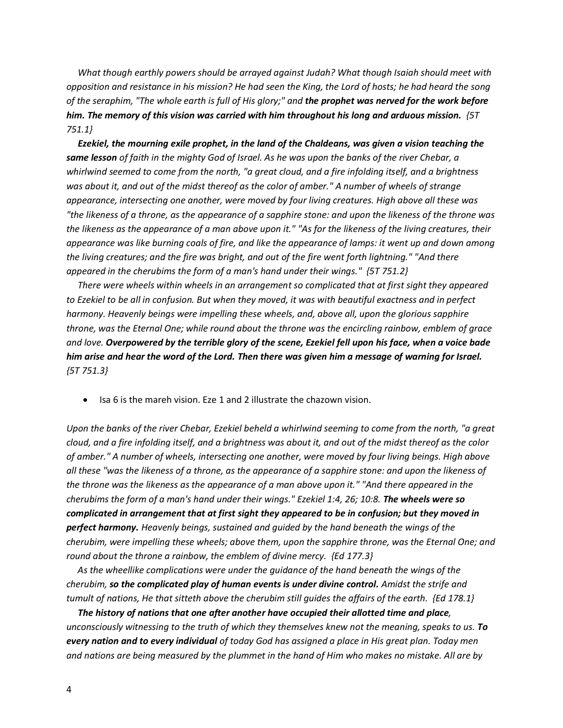*What though earthly powers should be arrayed against Judah? What though Isaiah should meet with opposition and resistance in his mission? He had seen the King, the Lord of hosts; he had heard the song of the seraphim, "The whole earth is full of His glory;" and the prophet was nerved for the work before him. The memory of this vision was carried with him throughout his long and arduous mission. {5T 751.1}* 

 *Ezekiel, the mourning exile prophet, in the land of the Chaldeans, was given a vision teaching the same lesson of faith in the mighty God of Israel. As he was upon the banks of the river Chebar, a whirlwind seemed to come from the north, "a great cloud, and a fire infolding itself, and a brightness was about it, and out of the midst thereof as the color of amber." A number of wheels of strange appearance, intersecting one another, were moved by four living creatures. High above all these was "the likeness of a throne, as the appearance of a sapphire stone: and upon the likeness of the throne was the likeness as the appearance of a man above upon it." "As for the likeness of the living creatures, their appearance was like burning coals of fire, and like the appearance of lamps: it went up and down among the living creatures; and the fire was bright, and out of the fire went forth lightning." "And there appeared in the cherubims the form of a man's hand under their wings." {5T 751.2}* 

 *There were wheels within wheels in an arrangement so complicated that at first sight they appeared to Ezekiel to be all in confusion. But when they moved, it was with beautiful exactness and in perfect harmony. Heavenly beings were impelling these wheels, and, above all, upon the glorious sapphire throne, was the Eternal One; while round about the throne was the encircling rainbow, emblem of grace and love. Overpowered by the terrible glory of the scene, Ezekiel fell upon his face, when a voice bade him arise and hear the word of the Lord. Then there was given him a message of warning for Israel. {5T 751.3}*

• Isa 6 is the mareh vision. Eze 1 and 2 illustrate the chazown vision.

*Upon the banks of the river Chebar, Ezekiel beheld a whirlwind seeming to come from the north, "a great cloud, and a fire infolding itself, and a brightness was about it, and out of the midst thereof as the color of amber." A number of wheels, intersecting one another, were moved by four living beings. High above all these "was the likeness of a throne, as the appearance of a sapphire stone: and upon the likeness of the throne was the likeness as the appearance of a man above upon it." "And there appeared in the cherubims the form of a man's hand under their wings." Ezekiel 1:4, 26; 10:8. The wheels were so complicated in arrangement that at first sight they appeared to be in confusion; but they moved in perfect harmony. Heavenly beings, sustained and guided by the hand beneath the wings of the cherubim, were impelling these wheels; above them, upon the sapphire throne, was the Eternal One; and round about the throne a rainbow, the emblem of divine mercy. {Ed 177.3}* 

 *As the wheellike complications were under the guidance of the hand beneath the wings of the cherubim, so the complicated play of human events is under divine control. Amidst the strife and tumult of nations, He that sitteth above the cherubim still guides the affairs of the earth. {Ed 178.1}* 

 *The history of nations that one after another have occupied their allotted time and place, unconsciously witnessing to the truth of which they themselves knew not the meaning, speaks to us. To every nation and to every individual of today God has assigned a place in His great plan. Today men and nations are being measured by the plummet in the hand of Him who makes no mistake. All are by*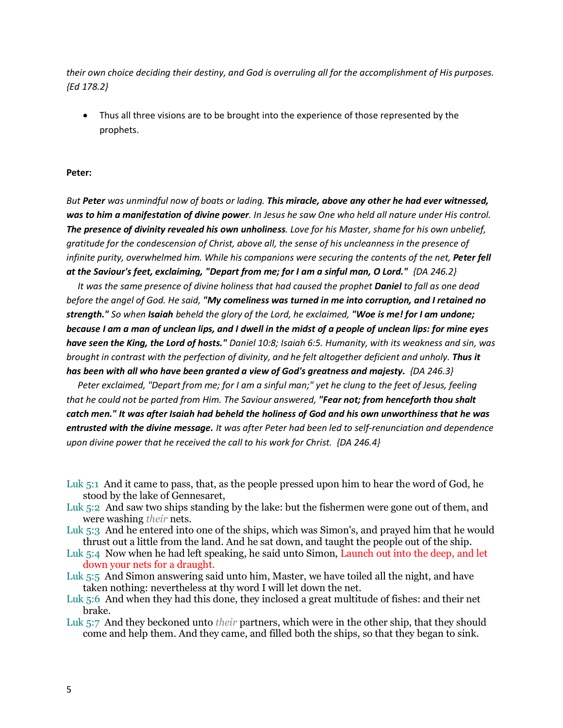*their own choice deciding their destiny, and God is overruling all for the accomplishment of His purposes. {Ed 178.2}* 

• Thus all three visions are to be brought into the experience of those represented by the prophets.

#### **Peter:**

*But Peter was unmindful now of boats or lading. This miracle, above any other he had ever witnessed, was to him a manifestation of divine power. In Jesus he saw One who held all nature under His control. The presence of divinity revealed his own unholiness. Love for his Master, shame for his own unbelief, gratitude for the condescension of Christ, above all, the sense of his uncleanness in the presence of infinite purity, overwhelmed him. While his companions were securing the contents of the net, Peter fell at the Saviour's feet, exclaiming, "Depart from me; for I am a sinful man, O Lord." {DA 246.2}* 

 *It was the same presence of divine holiness that had caused the prophet Daniel to fall as one dead before the angel of God. He said, "My comeliness was turned in me into corruption, and I retained no strength." So when Isaiah beheld the glory of the Lord, he exclaimed, "Woe is me! for I am undone; because I am a man of unclean lips, and I dwell in the midst of a people of unclean lips: for mine eyes have seen the King, the Lord of hosts." Daniel 10:8; Isaiah 6:5. Humanity, with its weakness and sin, was brought in contrast with the perfection of divinity, and he felt altogether deficient and unholy. Thus it has been with all who have been granted a view of God's greatness and majesty. {DA 246.3}* 

 *Peter exclaimed, "Depart from me; for I am a sinful man;" yet he clung to the feet of Jesus, feeling that he could not be parted from Him. The Saviour answered, "Fear not; from henceforth thou shalt catch men." It was after Isaiah had beheld the holiness of God and his own unworthiness that he was entrusted with the divine message. It was after Peter had been led to self-renunciation and dependence upon divine power that he received the call to his work for Christ. {DA 246.4}* 

- Luk 5:1 And it came to pass, that, as the people pressed upon him to hear the word of God, he stood by the lake of Gennesaret,
- Luk 5:2 And saw two ships standing by the lake: but the fishermen were gone out of them, and were washing *their* nets.
- Luk 5:3 And he entered into one of the ships, which was Simon's, and prayed him that he would thrust out a little from the land. And he sat down, and taught the people out of the ship.
- Luk 5:4 Now when he had left speaking, he said unto Simon, Launch out into the deep, and let down your nets for a draught.
- Luk 5:5 And Simon answering said unto him, Master, we have toiled all the night, and have taken nothing: nevertheless at thy word I will let down the net.
- Luk 5:6 And when they had this done, they inclosed a great multitude of fishes: and their net brake.
- Luk 5:7 And they beckoned unto *their* partners, which were in the other ship, that they should come and help them. And they came, and filled both the ships, so that they began to sink.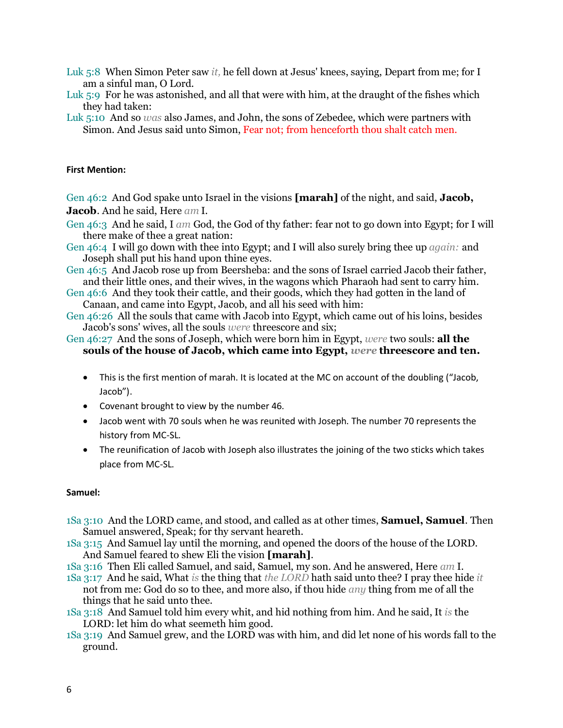- Luk 5:8 When Simon Peter saw *it,* he fell down at Jesus' knees, saying, Depart from me; for I am a sinful man, O Lord.
- Luk 5:9 For he was astonished, and all that were with him, at the draught of the fishes which they had taken:
- Luk 5:10 And so *was* also James, and John, the sons of Zebedee, which were partners with Simon. And Jesus said unto Simon, Fear not; from henceforth thou shalt catch men.

## **First Mention:**

Gen 46:2 And God spake unto Israel in the visions **[marah]** of the night, and said, **Jacob, Jacob**. And he said, Here *am* I.

- Gen 46:3 And he said, I *am* God, the God of thy father: fear not to go down into Egypt; for I will there make of thee a great nation:
- Gen 46:4 I will go down with thee into Egypt; and I will also surely bring thee up *again:* and Joseph shall put his hand upon thine eyes.
- Gen 46:5 And Jacob rose up from Beersheba: and the sons of Israel carried Jacob their father, and their little ones, and their wives, in the wagons which Pharaoh had sent to carry him.
- Gen 46:6 And they took their cattle, and their goods, which they had gotten in the land of Canaan, and came into Egypt, Jacob, and all his seed with him:
- Gen 46:26 All the souls that came with Jacob into Egypt, which came out of his loins, besides Jacob's sons' wives, all the souls *were* threescore and six;
- Gen 46:27 And the sons of Joseph, which were born him in Egypt, *were* two souls: **all the souls of the house of Jacob, which came into Egypt,** *were* **threescore and ten.** 
	- This is the first mention of marah. It is located at the MC on account of the doubling ("Jacob, Jacob").
	- Covenant brought to view by the number 46.
	- Jacob went with 70 souls when he was reunited with Joseph. The number 70 represents the history from MC-SL.
	- The reunification of Jacob with Joseph also illustrates the joining of the two sticks which takes place from MC-SL.

#### **Samuel:**

- 1Sa 3:10 And the LORD came, and stood, and called as at other times, **Samuel, Samuel**. Then Samuel answered, Speak; for thy servant heareth.
- 1Sa 3:15 And Samuel lay until the morning, and opened the doors of the house of the LORD. And Samuel feared to shew Eli the vision **[marah]**.
- 1Sa 3:16 Then Eli called Samuel, and said, Samuel, my son. And he answered, Here *am* I.
- 1Sa 3:17 And he said, What *is* the thing that *the LORD* hath said unto thee? I pray thee hide *it* not from me: God do so to thee, and more also, if thou hide *any* thing from me of all the things that he said unto thee.
- 1Sa 3:18 And Samuel told him every whit, and hid nothing from him. And he said, It *is* the LORD: let him do what seemeth him good.
- 1Sa 3:19 And Samuel grew, and the LORD was with him, and did let none of his words fall to the ground.